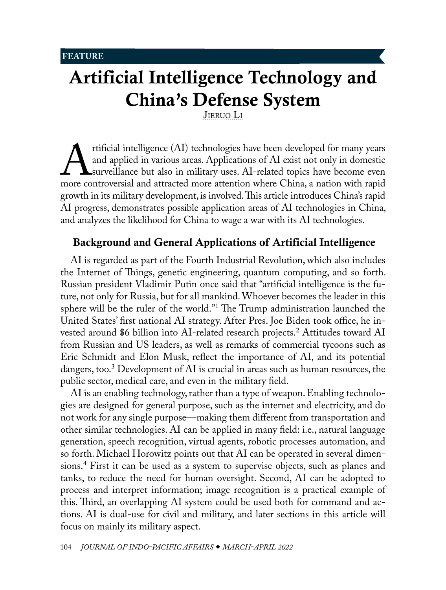# <span id="page-0-1"></span>Artificial Intelligence Technology and China's Defense System

<span id="page-0-0"></span>[Jieruo Li](#page-9-0)

Artificial intelligence (AI) technologies have been developed for many years<br>and applied in various areas. Applications of AI exist not only in domestic<br>surveillance but also in military uses. AI-related topics have become and applied in various areas. Applications of AI exist not only in domestic surveillance but also in military uses. AI-related topics have become even growth in its military development, is involved. This article introduces China's rapid AI progress, demonstrates possible application areas of AI technologies in China, and analyzes the likelihood for China to wage a war with its AI technologies.

## Background and General Applications of Artificial Intelligence

AI is regarded as part of the Fourth Industrial Revolution, which also includes the Internet of Things, genetic engineering, quantum computing, and so forth. Russian president Vladimir Putin once said that "artificial intelligence is the future, not only for Russia, but for all mankind. Whoever becomes the leader in this sphere will be the ruler of the world."[1](#page-9-0) The Trump administration launched the United States' first national AI strategy. After Pres. Joe Biden took office, he invested around \$6 billion into AI-related research projects.[2](#page-9-0) Attitudes toward AI from Russian and US leaders, as well as remarks of commercial tycoons such as Eric Schmidt and Elon Musk, reflect the importance of AI, and its potential dangers, too.[3](#page-9-0) Development of AI is crucial in areas such as human resources, the public sector, medical care, and even in the military field.

AI is an enabling technology, rather than a type of weapon. Enabling technologies are designed for general purpose, such as the internet and electricity, and do not work for any single purpose—making them different from transportation and other similar technologies. AI can be applied in many field: i.e., natural language generation, speech recognition, virtual agents, robotic processes automation, and so forth. Michael Horowitz points out that AI can be operated in several dimensions[.4](#page-9-0) First it can be used as a system to supervise objects, such as planes and tanks, to reduce the need for human oversight. Second, AI can be adopted to process and interpret information; image recognition is a practical example of this. Third, an overlapping AI system could be used both for command and actions. AI is dual-use for civil and military, and later sections in this article will focus on mainly its military aspect.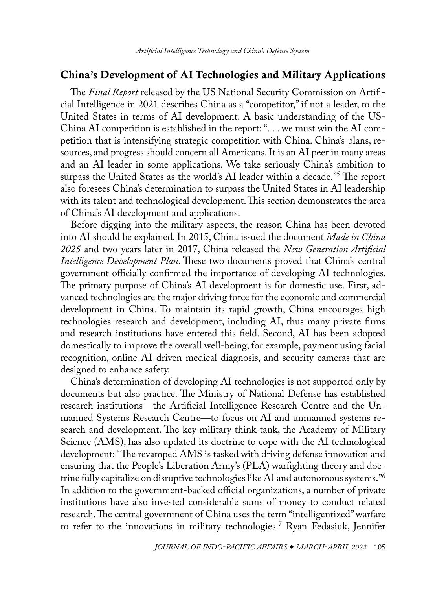## <span id="page-1-0"></span>China's Development of AI Technologies and Military Applications

The *Final Report* released by the US National Security Commission on Artificial Intelligence in 2021 describes China as a "competitor," if not a leader, to the United States in terms of AI development. A basic understanding of the US-China AI competition is established in the report: ". . . we must win the AI competition that is intensifying strategic competition with China. China's plans, resources, and progress should concern all Americans. It is an AI peer in many areas and an AI leader in some applications. We take seriously China's ambition to surpass the United States as the world's AI leader within a decade.["5](#page-9-0) The report also foresees China's determination to surpass the United States in AI leadership with its talent and technological development. This section demonstrates the area of China's AI development and applications.

Before digging into the military aspects, the reason China has been devoted into AI should be explained. In 2015, China issued the document *Made in China 2025* and two years later in 2017, China released the *New Generation Artificial Intelligence Development Plan*. These two documents proved that China's central government officially confirmed the importance of developing AI technologies. The primary purpose of China's AI development is for domestic use. First, advanced technologies are the major driving force for the economic and commercial development in China. To maintain its rapid growth, China encourages high technologies research and development, including AI, thus many private firms and research institutions have entered this field. Second, AI has been adopted domestically to improve the overall well-being, for example, payment using facial recognition, online AI-driven medical diagnosis, and security cameras that are designed to enhance safety.

China's determination of developing AI technologies is not supported only by documents but also practice. The Ministry of National Defense has established research institutions—the Artificial Intelligence Research Centre and the Unmanned Systems Research Centre—to focus on AI and unmanned systems research and development. The key military think tank, the Academy of Military Science (AMS), has also updated its doctrine to cope with the AI technological development: "The revamped AMS is tasked with driving defense innovation and ensuring that the People's Liberation Army's (PLA) warfighting theory and doctrine fully capitalize on disruptive technologies like AI and autonomous systems.["6](#page-9-0) In addition to the government-backed official organizations, a number of private institutions have also invested considerable sums of money to conduct related research. The central government of China uses the term "intelligentized" warfare to refer to the innovations in military technologies.[7](#page-9-0) Ryan Fedasiuk, Jennifer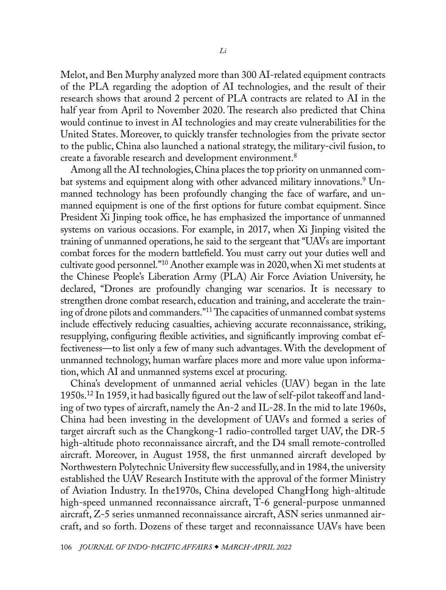<span id="page-2-0"></span>Melot, and Ben Murphy analyzed more than 300 AI-related equipment contracts of the PLA regarding the adoption of AI technologies, and the result of their research shows that around 2 percent of PLA contracts are related to AI in the half year from April to November 2020. The research also predicted that China would continue to invest in AI technologies and may create vulnerabilities for the United States. Moreover, to quickly transfer technologies from the private sector to the public, China also launched a national strategy, the military-civil fusion, to create a favorable research and development environment.[8](#page-9-0)

Among all the AI technologies, China places the top priority on unmanned com-bat systems and equipment along with other advanced military innovations.<sup>[9](#page-9-0)</sup> Unmanned technology has been profoundly changing the face of warfare, and unmanned equipment is one of the first options for future combat equipment. Since President Xi Jinping took office, he has emphasized the importance of unmanned systems on various occasions. For example, in 2017, when Xi Jinping visited the training of unmanned operations, he said to the sergeant that "UAVs are important combat forces for the modern battlefield. You must carry out your duties well and cultivate good personnel.["10](#page-9-0) Another example was in 2020, when Xi met students at the Chinese People's Liberation Army (PLA) Air Force Aviation University, he declared, "Drones are profoundly changing war scenarios. It is necessary to strengthen drone combat research, education and training, and accelerate the training of drone pilots and commanders.["11](#page-9-0) The capacities of unmanned combat systems include effectively reducing casualties, achieving accurate reconnaissance, striking, resupplying, configuring flexible activities, and significantly improving combat effectiveness—to list only a few of many such advantages. With the development of unmanned technology, human warfare places more and more value upon information, which AI and unmanned systems excel at procuring.

China's development of unmanned aerial vehicles (UAV) began in the late 1950s[.12](#page-9-0) In 1959, it had basically figured out the law of self-pilot takeoff and landing of two types of aircraft, namely the An-2 and IL-28. In the mid to late 1960s, China had been investing in the development of UAVs and formed a series of target aircraft such as the Changkong-1 radio-controlled target UAV, the DR-5 high-altitude photo reconnaissance aircraft, and the D4 small remote-controlled aircraft. Moreover, in August 1958, the first unmanned aircraft developed by Northwestern Polytechnic University flew successfully, and in 1984, the university established the UAV Research Institute with the approval of the former Ministry of Aviation Industry. In the1970s, China developed ChangHong high-altitude high-speed unmanned reconnaissance aircraft, T-6 general-purpose unmanned aircraft, Z-5 series unmanned reconnaissance aircraft, ASN series unmanned aircraft, and so forth. Dozens of these target and reconnaissance UAVs have been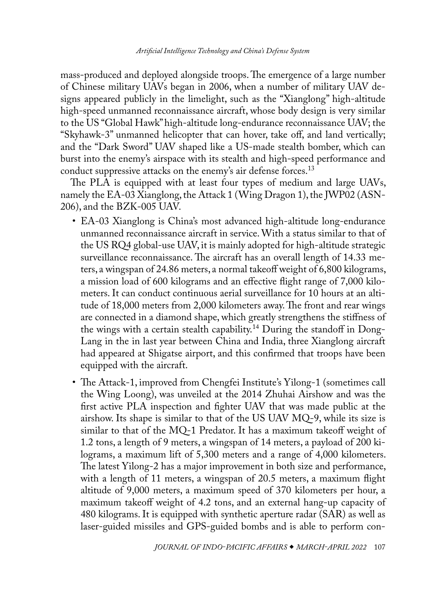<span id="page-3-0"></span>mass-produced and deployed alongside troops. The emergence of a large number of Chinese military UAVs began in 2006, when a number of military UAV designs appeared publicly in the limelight, such as the "Xianglong" high-altitude high-speed unmanned reconnaissance aircraft, whose body design is very similar to the US "Global Hawk" high-altitude long-endurance reconnaissance UAV; the "Skyhawk-3" unmanned helicopter that can hover, take off, and land vertically; and the "Dark Sword" UAV shaped like a US-made stealth bomber, which can burst into the enemy's airspace with its stealth and high-speed performance and conduct suppressive attacks on the enemy's air defense forces.<sup>[13](#page-9-0)</sup>

The PLA is equipped with at least four types of medium and large UAVs, namely the EA-03 Xianglong, the Attack 1 (Wing Dragon 1), the JWP02 (ASN-206), and the BZK-005 UAV.

- EA-03 Xianglong is China's most advanced high-altitude long-endurance unmanned reconnaissance aircraft in service. With a status similar to that of the US RQ4 global-use UAV, it is mainly adopted for high-altitude strategic surveillance reconnaissance. The aircraft has an overall length of 14.33 meters, a wingspan of 24.86 meters, a normal takeoff weight of 6,800 kilograms, a mission load of 600 kilograms and an effective flight range of 7,000 kilometers. It can conduct continuous aerial surveillance for 10 hours at an altitude of 18,000 meters from 2,000 kilometers away. The front and rear wings are connected in a diamond shape, which greatly strengthens the stiffness of the wings with a certain stealth capability.<sup>14</sup> During the standoff in Dong-Lang in the in last year between China and India, three Xianglong aircraft had appeared at Shigatse airport, and this confirmed that troops have been equipped with the aircraft.
- The Attack-1, improved from Chengfei Institute's Yilong-1 (sometimes call the Wing Loong), was unveiled at the 2014 Zhuhai Airshow and was the first active PLA inspection and fighter UAV that was made public at the airshow. Its shape is similar to that of the US UAV  $MQ-9$ , while its size is similar to that of the MQ-1 Predator. It has a maximum takeoff weight of 1.2 tons, a length of 9 meters, a wingspan of 14 meters, a payload of 200 kilograms, a maximum lift of 5,300 meters and a range of 4,000 kilometers. The latest Yilong-2 has a major improvement in both size and performance, with a length of 11 meters, a wingspan of 20.5 meters, a maximum flight altitude of 9,000 meters, a maximum speed of 370 kilometers per hour, a maximum takeoff weight of 4.2 tons, and an external hang-up capacity of 480 kilograms. It is equipped with synthetic aperture radar (SAR) as well as laser-guided missiles and GPS-guided bombs and is able to perform con-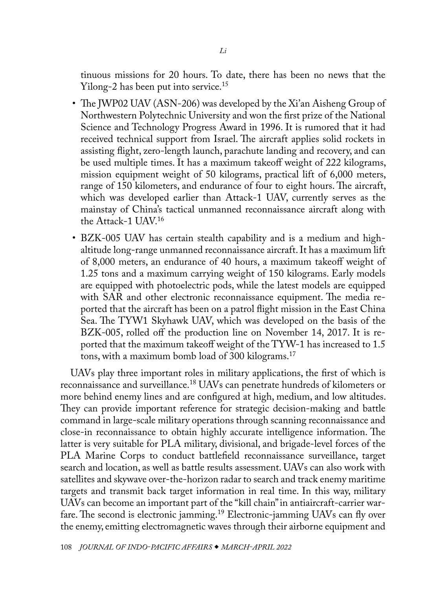<span id="page-4-0"></span>tinuous missions for 20 hours. To date, there has been no news that the Yilong-2 has been put into service.<sup>15</sup>

- The JWP02 UAV (ASN-206) was developed by the Xi'an Aisheng Group of Northwestern Polytechnic University and won the first prize of the National Science and Technology Progress Award in 1996. It is rumored that it had received technical support from Israel. The aircraft applies solid rockets in assisting flight, zero-length launch, parachute landing and recovery, and can be used multiple times. It has a maximum takeoff weight of 222 kilograms, mission equipment weight of 50 kilograms, practical lift of 6,000 meters, range of 150 kilometers, and endurance of four to eight hours. The aircraft, which was developed earlier than Attack-1 UAV, currently serves as the mainstay of China's tactical unmanned reconnaissance aircraft along with the Attack-1 UAV.[16](#page-9-0)
- BZK-005 UAV has certain stealth capability and is a medium and highaltitude long-range unmanned reconnaissance aircraft. It has a maximum lift of 8,000 meters, an endurance of 40 hours, a maximum takeoff weight of 1.25 tons and a maximum carrying weight of 150 kilograms. Early models are equipped with photoelectric pods, while the latest models are equipped with SAR and other electronic reconnaissance equipment. The media reported that the aircraft has been on a patrol flight mission in the East China Sea. The TYW1 Skyhawk UAV, which was developed on the basis of the BZK-005, rolled off the production line on November 14, 2017. It is reported that the maximum takeoff weight of the TYW-1 has increased to 1.5 tons, with a maximum bomb load of 300 kilograms.<sup>17</sup>

UAVs play three important roles in military applications, the first of which is reconnaissance and surveillance.[18](#page-10-0) UAVs can penetrate hundreds of kilometers or more behind enemy lines and are configured at high, medium, and low altitudes. They can provide important reference for strategic decision-making and battle command in large-scale military operations through scanning reconnaissance and close-in reconnaissance to obtain highly accurate intelligence information. The latter is very suitable for PLA military, divisional, and brigade-level forces of the PLA Marine Corps to conduct battlefield reconnaissance surveillance, target search and location, as well as battle results assessment. UAVs can also work with satellites and skywave over-the-horizon radar to search and track enemy maritime targets and transmit back target information in real time. In this way, military UAVs can become an important part of the "kill chain" in antiaircraft-carrier warfare. The second is electronic jamming.<sup>19</sup> Electronic-jamming UAVs can fly over the enemy, emitting electromagnetic waves through their airborne equipment and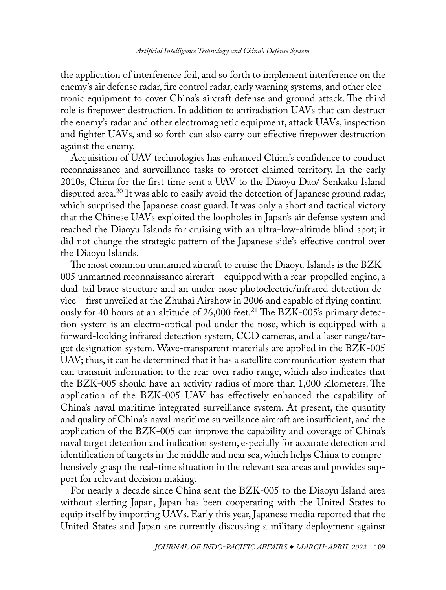<span id="page-5-0"></span>the application of interference foil, and so forth to implement interference on the enemy's air defense radar, fire control radar, early warning systems, and other electronic equipment to cover China's aircraft defense and ground attack. The third role is firepower destruction. In addition to antiradiation UAVs that can destruct the enemy's radar and other electromagnetic equipment, attack UAVs, inspection and fighter UAVs, and so forth can also carry out effective firepower destruction against the enemy.

Acquisition of UAV technologies has enhanced China's confidence to conduct reconnaissance and surveillance tasks to protect claimed territory. In the early 2010s, China for the first time sent a UAV to the Diaoyu Dao/ Senkaku Island disputed area.<sup>[20](#page-10-0)</sup> It was able to easily avoid the detection of Japanese ground radar, which surprised the Japanese coast guard. It was only a short and tactical victory that the Chinese UAVs exploited the loopholes in Japan's air defense system and reached the Diaoyu Islands for cruising with an ultra-low-altitude blind spot; it did not change the strategic pattern of the Japanese side's effective control over the Diaoyu Islands.

The most common unmanned aircraft to cruise the Diaoyu Islands is the BZK-005 unmanned reconnaissance aircraft—equipped with a rear-propelled engine, a dual-tail brace structure and an under-nose photoelectric/infrared detection device—first unveiled at the Zhuhai Airshow in 2006 and capable of flying continuously for 40 hours at an altitude of 26,000 feet.<sup>21</sup> The BZK-005's primary detection system is an electro-optical pod under the nose, which is equipped with a forward-looking infrared detection system, CCD cameras, and a laser range/target designation system. Wave-transparent materials are applied in the BZK-005 UAV; thus, it can be determined that it has a satellite communication system that can transmit information to the rear over radio range, which also indicates that the BZK-005 should have an activity radius of more than 1,000 kilometers. The application of the BZK-005 UAV has effectively enhanced the capability of China's naval maritime integrated surveillance system. At present, the quantity and quality of China's naval maritime surveillance aircraft are insufficient, and the application of the BZK-005 can improve the capability and coverage of China's naval target detection and indication system, especially for accurate detection and identification of targets in the middle and near sea, which helps China to comprehensively grasp the real-time situation in the relevant sea areas and provides support for relevant decision making.

For nearly a decade since China sent the BZK-005 to the Diaoyu Island area without alerting Japan, Japan has been cooperating with the United States to equip itself by importing UAVs. Early this year, Japanese media reported that the United States and Japan are currently discussing a military deployment against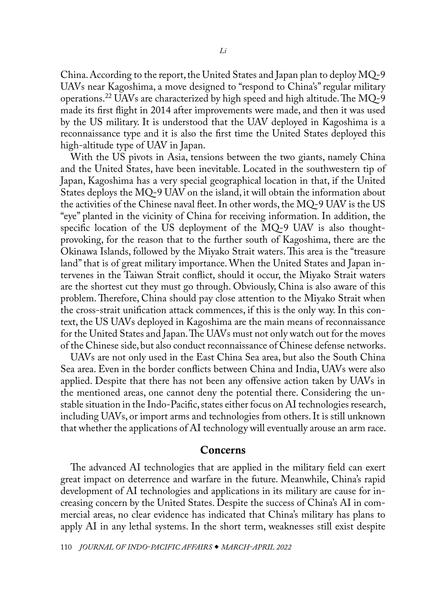<span id="page-6-0"></span>China. According to the report, the United States and Japan plan to deploy MQ-9 UAVs near Kagoshima, a move designed to "respond to China's" regular military operations.[22](#page-10-0) UAVs are characterized by high speed and high altitude. The MQ-9 made its first flight in 2014 after improvements were made, and then it was used by the US military. It is understood that the UAV deployed in Kagoshima is a reconnaissance type and it is also the first time the United States deployed this high-altitude type of UAV in Japan.

With the US pivots in Asia, tensions between the two giants, namely China and the United States, have been inevitable. Located in the southwestern tip of Japan, Kagoshima has a very special geographical location in that, if the United States deploys the MQ-9 UAV on the island, it will obtain the information about the activities of the Chinese naval fleet. In other words, the MQ-9 UAV is the US "eye" planted in the vicinity of China for receiving information. In addition, the specific location of the US deployment of the MQ-9 UAV is also thoughtprovoking, for the reason that to the further south of Kagoshima, there are the Okinawa Islands, followed by the Miyako Strait waters. This area is the "treasure land" that is of great military importance. When the United States and Japan intervenes in the Taiwan Strait conflict, should it occur, the Miyako Strait waters are the shortest cut they must go through. Obviously, China is also aware of this problem. Therefore, China should pay close attention to the Miyako Strait when the cross-strait unification attack commences, if this is the only way. In this context, the US UAVs deployed in Kagoshima are the main means of reconnaissance for the United States and Japan. The UAVs must not only watch out for the moves of the Chinese side, but also conduct reconnaissance of Chinese defense networks.

UAVs are not only used in the East China Sea area, but also the South China Sea area. Even in the border conflicts between China and India, UAVs were also applied. Despite that there has not been any offensive action taken by UAVs in the mentioned areas, one cannot deny the potential there. Considering the unstable situation in the Indo-Pacific, states either focus on AI technologies research, including UAVs, or import arms and technologies from others. It is still unknown that whether the applications of AI technology will eventually arouse an arm race.

### Concerns

The advanced AI technologies that are applied in the military field can exert great impact on deterrence and warfare in the future. Meanwhile, China's rapid development of AI technologies and applications in its military are cause for increasing concern by the United States. Despite the success of China's AI in commercial areas, no clear evidence has indicated that China's military has plans to apply AI in any lethal systems. In the short term, weaknesses still exist despite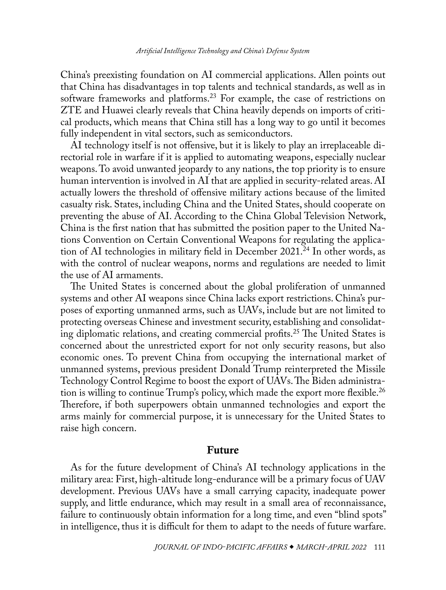<span id="page-7-0"></span>China's preexisting foundation on AI commercial applications. Allen points out that China has disadvantages in top talents and technical standards, as well as in software frameworks and platforms.<sup>23</sup> For example, the case of restrictions on ZTE and Huawei clearly reveals that China heavily depends on imports of critical products, which means that China still has a long way to go until it becomes fully independent in vital sectors, such as semiconductors.

AI technology itself is not offensive, but it is likely to play an irreplaceable directorial role in warfare if it is applied to automating weapons, especially nuclear weapons. To avoid unwanted jeopardy to any nations, the top priority is to ensure human intervention is involved in AI that are applied in security-related areas. AI actually lowers the threshold of offensive military actions because of the limited casualty risk. States, including China and the United States, should cooperate on preventing the abuse of AI. According to the China Global Television Network, China is the first nation that has submitted the position paper to the United Nations Convention on Certain Conventional Weapons for regulating the application of AI technologies in military field in December 2021.<sup>24</sup> In other words, as with the control of nuclear weapons, norms and regulations are needed to limit the use of AI armaments.

The United States is concerned about the global proliferation of unmanned systems and other AI weapons since China lacks export restrictions. China's purposes of exporting unmanned arms, such as UAVs, include but are not limited to protecting overseas Chinese and investment security, establishing and consolidating diplomatic relations, and creating commercial profits[.25](#page-10-0) The United States is concerned about the unrestricted export for not only security reasons, but also economic ones. To prevent China from occupying the international market of unmanned systems, previous president Donald Trump reinterpreted the Missile Technology Control Regime to boost the export of UAVs. The Biden administra-tion is willing to continue Trump's policy, which made the export more flexible.<sup>[26](#page-10-0)</sup> Therefore, if both superpowers obtain unmanned technologies and export the arms mainly for commercial purpose, it is unnecessary for the United States to raise high concern.

### Future

As for the future development of China's AI technology applications in the military area: First, high-altitude long-endurance will be a primary focus of UAV development. Previous UAVs have a small carrying capacity, inadequate power supply, and little endurance, which may result in a small area of reconnaissance, failure to continuously obtain information for a long time, and even "blind spots" in intelligence, thus it is difficult for them to adapt to the needs of future warfare.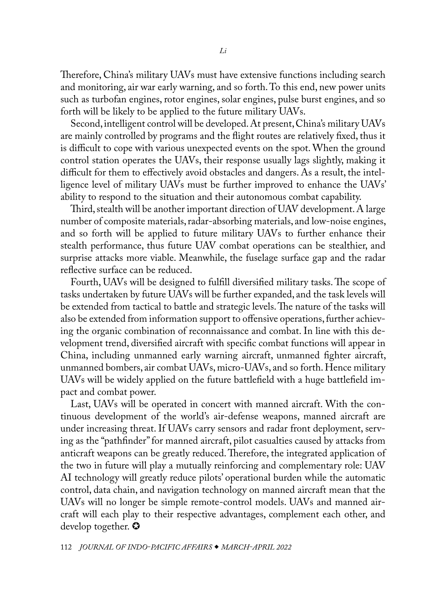Therefore, China's military UAVs must have extensive functions including search and monitoring, air war early warning, and so forth. To this end, new power units such as turbofan engines, rotor engines, solar engines, pulse burst engines, and so forth will be likely to be applied to the future military UAVs.

Second, intelligent control will be developed. At present, China's military UAVs are mainly controlled by programs and the flight routes are relatively fixed, thus it is difficult to cope with various unexpected events on the spot. When the ground control station operates the UAVs, their response usually lags slightly, making it difficult for them to effectively avoid obstacles and dangers. As a result, the intelligence level of military UAVs must be further improved to enhance the UAVs' ability to respond to the situation and their autonomous combat capability.

Third, stealth will be another important direction of UAV development. A large number of composite materials, radar-absorbing materials, and low-noise engines, and so forth will be applied to future military UAVs to further enhance their stealth performance, thus future UAV combat operations can be stealthier, and surprise attacks more viable. Meanwhile, the fuselage surface gap and the radar reflective surface can be reduced.

Fourth, UAVs will be designed to fulfill diversified military tasks. The scope of tasks undertaken by future UAVs will be further expanded, and the task levels will be extended from tactical to battle and strategic levels. The nature of the tasks will also be extended from information support to offensive operations, further achieving the organic combination of reconnaissance and combat. In line with this development trend, diversified aircraft with specific combat functions will appear in China, including unmanned early warning aircraft, unmanned fighter aircraft, unmanned bombers, air combat UAVs, micro-UAVs, and so forth. Hence military UAVs will be widely applied on the future battlefield with a huge battlefield impact and combat power.

Last, UAVs will be operated in concert with manned aircraft. With the continuous development of the world's air-defense weapons, manned aircraft are under increasing threat. If UAVs carry sensors and radar front deployment, serving as the "pathfinder" for manned aircraft, pilot casualties caused by attacks from anticraft weapons can be greatly reduced. Therefore, the integrated application of the two in future will play a mutually reinforcing and complementary role: UAV AI technology will greatly reduce pilots' operational burden while the automatic control, data chain, and navigation technology on manned aircraft mean that the UAVs will no longer be simple remote-control models. UAVs and manned aircraft will each play to their respective advantages, complement each other, and develop together.  $\boldsymbol{\heartsuit}$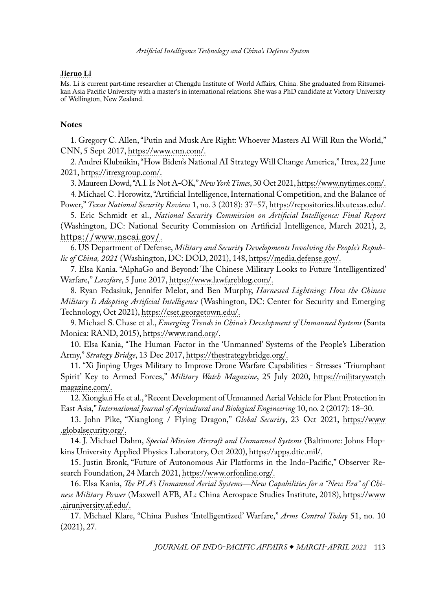*Artificial Intelligence Technology and China's Defense System*

#### <span id="page-9-0"></span>[Jieruo Li](#page-0-0)

Ms. Li is current part-time researcher at Chengdu Institute of World Affairs, China. She graduated from Ritsumeikan Asia Pacific University with a master's in international relations. She was a PhD candidate at Victory University of Wellington, New Zealand.

#### **Notes**

[1](#page-0-1). Gregory C. Allen, "Putin and Musk Are Right: Whoever Masters AI Will Run the World," CNN, 5 Sept 2017, [https://www.cnn.com/.](https://www.cnn.com/2017/09/05/opinions/russia-weaponize-ai-opinion-allen/index.html)

[2](#page-0-1). Andrei Klubnikin, "How Biden's National AI Strategy Will Change America," Itrex, 22 June 2021, [https://itrexgroup.com/.](https://itrexgroup.com/blog/bidens-national-ai-strategy-impact-on-government-business-society/)

[3.](#page-0-1) Maureen Dowd, "A.I. Is Not A-OK," *New York Times*, 30 Oct 2021, [https://www.nytimes.com/.](https://www.nytimes.com/2021/10/30/opinion/eric-schmidt-ai.html)

[4](#page-0-1). Michael C. Horowitz, "Artificial Intelligence, International Competition, and the Balance of Power," *Texas National Security Review* 1, no. 3 (2018): 37–57, [https://repositories.lib.utexas.edu/](https://repositories.lib.utexas.edu/bitstream/handle/2152/65638/TNSR-Vol-1-Iss-3_Horowitz.pdf).

[5](#page-1-0). Eric Schmidt et al., *National Security Commission on Artificial Intelligence: Final Report* (Washington, DC: National Security Commission on Artificial Intelligence, March 2021), 2, [https://www.nscai.gov/](https://www.nscai.gov/wp-content/uploads/2021/03/Full-Report-Digital-1.pdf).

[6](#page-1-0). US Department of Defense, *Military and Security Developments Involving the People's Republic of China, 2021* (Washington, DC: DOD, 2021), 148, [https://media.defense.gov/.](https://media.defense.gov/2021/Nov/03/2002885874/-1/-1/0/2021-CMPR-FINAL.PDF)

[7](#page-1-0). Elsa Kania. "AlphaGo and Beyond: The Chinese Military Looks to Future 'Intelligentized' Warfare," *Lawfare*, 5 June 2017, [https://www.lawfareblog.com/.](https://www.lawfareblog.com/alphago-and-beyond-chinese-military-looks-future-intelligentized-warfare)

[8](#page-2-0). Ryan Fedasiuk, Jennifer Melot, and Ben Murphy, *Harnessed Lightning: How the Chinese Military Is Adopting Artificial Intelligence* (Washington, DC: Center for Security and Emerging Technology, Oct 2021), [https://cset.georgetown.edu/.](https://cset.georgetown.edu/wp-content/uploads/CSET-Harnessed-Lightning.pdf)

[9](#page-2-0). Michael S. Chase et al., *Emerging Trends in China's Development of Unmanned Systems* (Santa Monica: RAND, 2015), [https://www.rand.org/](https://www.rand.org/pubs/research_reports/RR990.html).

[10](#page-2-0). Elsa Kania, "The Human Factor in the 'Unmanned' Systems of the People's Liberation Army," *Strategy Bridge*, 13 Dec 2017, [https://thestrategybridge.org/.](https://thestrategybridge.org/the-bridge/2017/12/13/the-human-factor-in-the-unmanned-systems-of-the-peoples-liberation-army)

[11.](#page-2-0) "Xi Jinping Urges Military to Improve Drone Warfare Capabilities - Stresses 'Triumphant Spirit' Key to Armed Forces," *Military Watch Magazine*, 25 July 2020, [https://militarywatch](https://militarywatchmagazine.com/article/premier-xi-jinping-urges-military-to-improve-drone-warfare-capabilities-stresses-triumphant-spirit-key-to-armed-forces) [magazine.com/](https://militarywatchmagazine.com/article/premier-xi-jinping-urges-military-to-improve-drone-warfare-capabilities-stresses-triumphant-spirit-key-to-armed-forces).

[12.](#page-2-0) Xiongkui He et al., "Recent Development of Unmanned Aerial Vehicle for Plant Protection in East Asia," *International Journal of Agricultural and Biological Engineering* 10, no. 2 (2017): 18–30.

[13](#page-3-0). John Pike, "Xianglong / Flying Dragon," *Global Security*, 23 Oct 2021, [https://www](https://www.globalsecurity.org/military/world/china/xianglong.htm) [.globalsecurity.org/](https://www.globalsecurity.org/military/world/china/xianglong.htm).

[14.](#page-3-0) J. Michael Dahm, *Special Mission Aircraft and Unmanned Systems* (Baltimore: Johns Hopkins University Applied Physics Laboratory, Oct 2020), [https://apps.dtic.mil/.](https://apps.dtic.mil/sti/pdfs/AD1128646.pdf)

[15.](#page-4-0) Justin Bronk, "Future of Autonomous Air Platforms in the Indo-Pacific," Observer Research Foundation, 24 March 2021, [https://www.orfonline.org/](https://www.orfonline.org/expert-speak/future-autonomous-air-platforms-indo-pacific/).

[16.](#page-4-0) Elsa Kania, *The PLA's Unmanned Aerial Systems—New Capabilities for a "New Era" of Chinese Military Power* (Maxwell AFB, AL: China Aerospace Studies Institute, 2018), [https://www](https://www.airuniversity.af.edu/Portals/10/CASI/Books/PLAs_Unmanned_Aerial_Systems.pdf) [.airuniversity.af.edu/](https://www.airuniversity.af.edu/Portals/10/CASI/Books/PLAs_Unmanned_Aerial_Systems.pdf).

[17.](#page-4-0) Michael Klare, "China Pushes 'Intelligentized' Warfare," *Arms Control Today* 51, no. 10 (2021), 27.